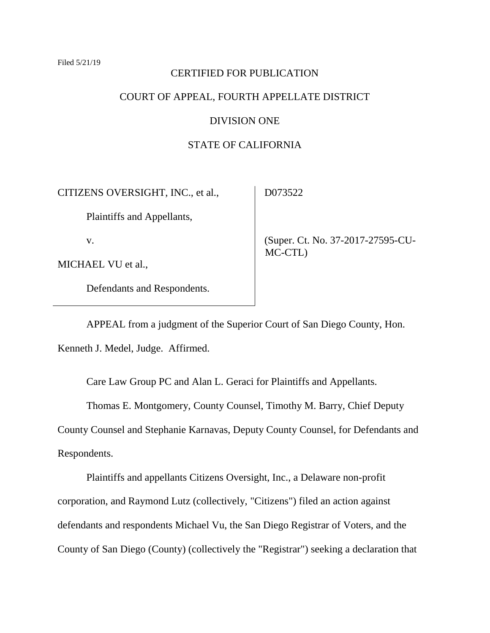#### Filed 5/21/19

#### CERTIFIED FOR PUBLICATION

# COURT OF APPEAL, FOURTH APPELLATE DISTRICT

#### DIVISION ONE

# STATE OF CALIFORNIA

D073522

CITIZENS OVERSIGHT, INC., et al.,

Plaintiffs and Appellants,

v.

MICHAEL VU et al.,

Defendants and Respondents.

 (Super. Ct. No. 37-2017-27595-CU-MC-CTL)

APPEAL from a judgment of the Superior Court of San Diego County, Hon. Kenneth J. Medel, Judge. Affirmed.

Care Law Group PC and Alan L. Geraci for Plaintiffs and Appellants.

Thomas E. Montgomery, County Counsel, Timothy M. Barry, Chief Deputy County Counsel and Stephanie Karnavas, Deputy County Counsel, for Defendants and Respondents.

Plaintiffs and appellants Citizens Oversight, Inc., a Delaware non-profit corporation, and Raymond Lutz (collectively, "Citizens") filed an action against defendants and respondents Michael Vu, the San Diego Registrar of Voters, and the County of San Diego (County) (collectively the "Registrar") seeking a declaration that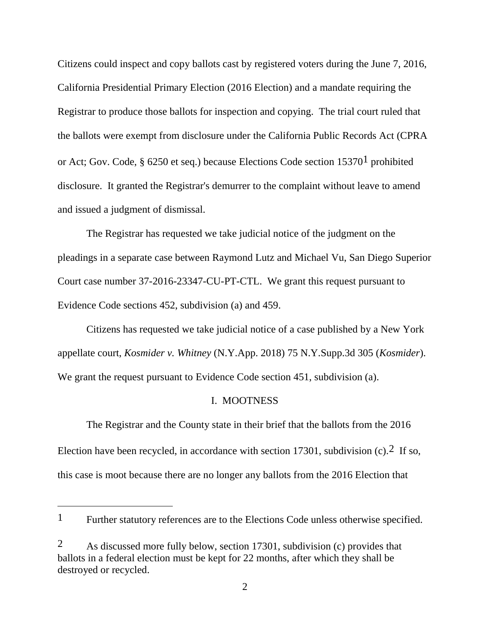Citizens could inspect and copy ballots cast by registered voters during the June 7, 2016, California Presidential Primary Election (2016 Election) and a mandate requiring the Registrar to produce those ballots for inspection and copying. The trial court ruled that the ballots were exempt from disclosure under the California Public Records Act (CPRA or Act; Gov. Code, § 6250 et seq.) because Elections Code section  $15370<sup>1</sup>$  prohibited disclosure. It granted the Registrar's demurrer to the complaint without leave to amend and issued a judgment of dismissal.

The Registrar has requested we take judicial notice of the judgment on the pleadings in a separate case between Raymond Lutz and Michael Vu, San Diego Superior Court case number 37-2016-23347-CU-PT-CTL. We grant this request pursuant to Evidence Code sections 452, subdivision (a) and 459.

Citizens has requested we take judicial notice of a case published by a New York appellate court, *Kosmider v. Whitney* (N.Y.App. 2018) 75 N.Y.Supp.3d 305 (*Kosmider*). We grant the request pursuant to Evidence Code section 451, subdivision (a).

## I. MOOTNESS

The Registrar and the County state in their brief that the ballots from the 2016 Election have been recycled, in accordance with section 17301, subdivision  $(c)$ . If so, this case is moot because there are no longer any ballots from the 2016 Election that

<sup>&</sup>lt;sup>1</sup> Further statutory references are to the Elections Code unless otherwise specified.

<sup>2</sup> As discussed more fully below, section 17301, subdivision (c) provides that ballots in a federal election must be kept for 22 months, after which they shall be destroyed or recycled.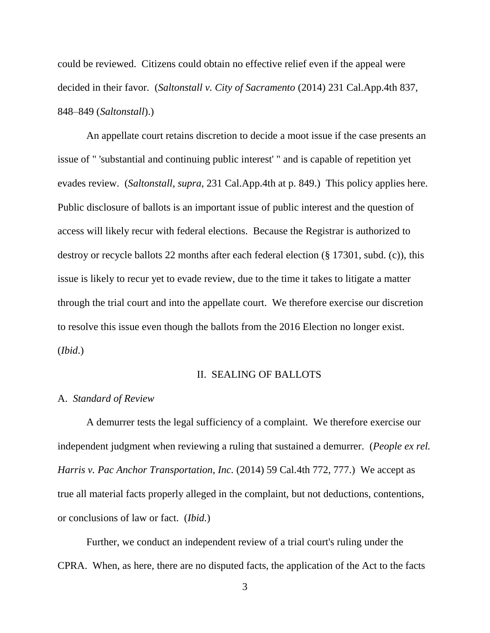could be reviewed. Citizens could obtain no effective relief even if the appeal were decided in their favor. (*Saltonstall v. City of Sacramento* (2014) 231 Cal.App.4th 837, 848–849 (*Saltonstall*).)

An appellate court retains discretion to decide a moot issue if the case presents an issue of " 'substantial and continuing public interest' " and is capable of repetition yet evades review. (*Saltonstall*, *supra*, 231 Cal.App.4th at p. 849.) This policy applies here. Public disclosure of ballots is an important issue of public interest and the question of access will likely recur with federal elections. Because the Registrar is authorized to destroy or recycle ballots 22 months after each federal election (§ 17301, subd. (c)), this issue is likely to recur yet to evade review, due to the time it takes to litigate a matter through the trial court and into the appellate court. We therefore exercise our discretion to resolve this issue even though the ballots from the 2016 Election no longer exist. (*Ibid*.)

### II. SEALING OF BALLOTS

#### A. *Standard of Review*

A demurrer tests the legal sufficiency of a complaint. We therefore exercise our independent judgment when reviewing a ruling that sustained a demurrer. (*People ex rel. Harris v. Pac Anchor Transportation*, *Inc.* (2014) 59 Cal.4th 772, 777.) We accept as true all material facts properly alleged in the complaint, but not deductions, contentions, or conclusions of law or fact. (*Ibid.*)

Further, we conduct an independent review of a trial court's ruling under the CPRA. When, as here, there are no disputed facts, the application of the Act to the facts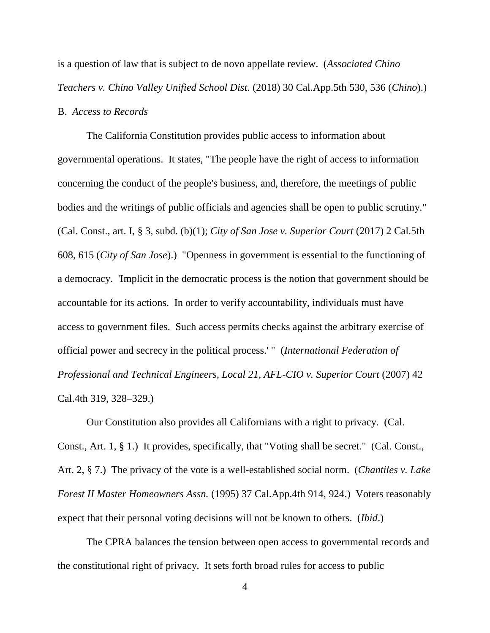is a question of law that is subject to de novo appellate review. (*Associated Chino Teachers v. Chino Valley Unified School Dist*. (2018) 30 Cal.App.5th 530, 536 (*Chino*).)

## B. *Access to Records*

The California Constitution provides public access to information about governmental operations. It states, "The people have the right of access to information concerning the conduct of the people's business, and, therefore, the meetings of public bodies and the writings of public officials and agencies shall be open to public scrutiny." (Cal. Const., art. I, § 3, subd. (b)(1); *City of San Jose v. Superior Court* (2017) 2 Cal.5th 608, 615 (*City of San Jose*).) "Openness in government is essential to the functioning of a democracy. 'Implicit in the democratic process is the notion that government should be accountable for its actions. In order to verify accountability, individuals must have access to government files. Such access permits checks against the arbitrary exercise of official power and secrecy in the political process.' " (*International Federation of Professional and Technical Engineers, Local 21, AFL-CIO v. Superior Court* (2007) 42 Cal.4th 319, 328–329.)

Our Constitution also provides all Californians with a right to privacy. (Cal. Const., Art. 1, § 1.) It provides, specifically, that "Voting shall be secret." (Cal. Const., Art. 2, § 7.) The privacy of the vote is a well-established social norm. (*Chantiles v. Lake Forest II Master Homeowners Assn.* (1995) 37 Cal.App.4th 914, 924.) Voters reasonably expect that their personal voting decisions will not be known to others. (*Ibid*.)

The CPRA balances the tension between open access to governmental records and the constitutional right of privacy. It sets forth broad rules for access to public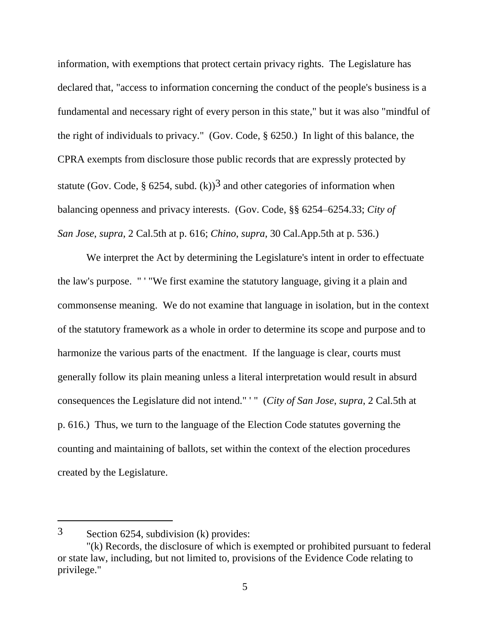information, with exemptions that protect certain privacy rights. The Legislature has declared that, "access to information concerning the conduct of the people's business is a fundamental and necessary right of every person in this state," but it was also "mindful of the right of individuals to privacy." (Gov. Code, § 6250.) In light of this balance, the CPRA exempts from disclosure those public records that are expressly protected by statute (Gov. Code, § 6254, subd.  $(k)$ )<sup>3</sup> and other categories of information when balancing openness and privacy interests. (Gov. Code, §§ 6254–6254.33; *City of San Jose*, *supra*, 2 Cal.5th at p. 616; *Chino*, *supra*, 30 Cal.App.5th at p. 536.)

We interpret the Act by determining the Legislature's intent in order to effectuate the law's purpose. " ' "We first examine the statutory language, giving it a plain and commonsense meaning. We do not examine that language in isolation, but in the context of the statutory framework as a whole in order to determine its scope and purpose and to harmonize the various parts of the enactment. If the language is clear, courts must generally follow its plain meaning unless a literal interpretation would result in absurd consequences the Legislature did not intend." ' " (*City of San Jose*, *supra*, 2 Cal.5th at p. 616.) Thus, we turn to the language of the Election Code statutes governing the counting and maintaining of ballots, set within the context of the election procedures created by the Legislature.

<sup>3</sup> Section 6254, subdivision (k) provides:

<sup>&</sup>quot;(k) Records, the disclosure of which is exempted or prohibited pursuant to federal or state law, including, but not limited to, provisions of the Evidence Code relating to privilege."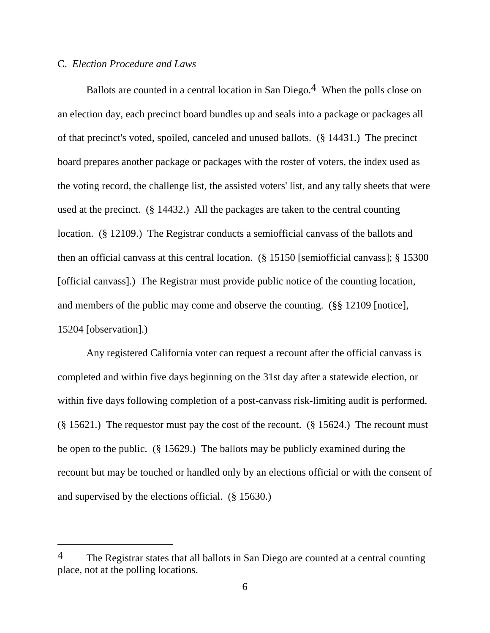# C. *Election Procedure and Laws*

 $\overline{a}$ 

Ballots are counted in a central location in San Diego.<sup>4</sup> When the polls close on an election day, each precinct board bundles up and seals into a package or packages all of that precinct's voted, spoiled, canceled and unused ballots. (§ 14431.) The precinct board prepares another package or packages with the roster of voters, the index used as the voting record, the challenge list, the assisted voters' list, and any tally sheets that were used at the precinct. (§ 14432.) All the packages are taken to the central counting location. (§ 12109.) The Registrar conducts a semiofficial canvass of the ballots and then an official canvass at this central location. (§ 15150 [semiofficial canvass]; § 15300 [official canvass].) The Registrar must provide public notice of the counting location, and members of the public may come and observe the counting. (§§ 12109 [notice], 15204 [observation].)

Any registered California voter can request a recount after the official canvass is completed and within five days beginning on the 31st day after a statewide election, or within five days following completion of a post-canvass risk-limiting audit is performed. (§ 15621.) The requestor must pay the cost of the recount. (§ 15624.) The recount must be open to the public. (§ 15629.) The ballots may be publicly examined during the recount but may be touched or handled only by an elections official or with the consent of and supervised by the elections official. (§ 15630.)

<sup>&</sup>lt;sup>4</sup> The Registrar states that all ballots in San Diego are counted at a central counting place, not at the polling locations.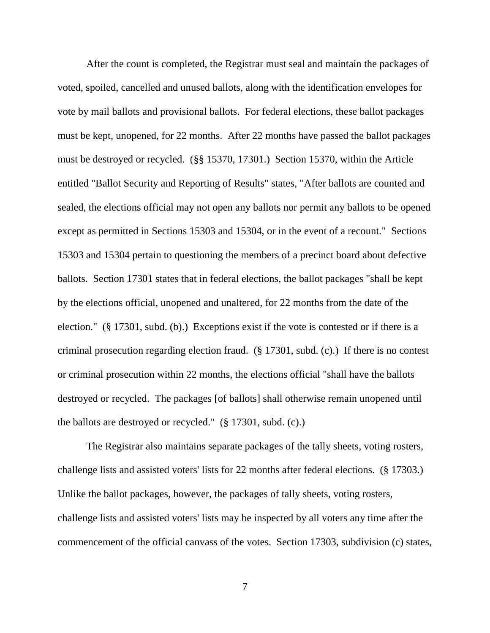After the count is completed, the Registrar must seal and maintain the packages of voted, spoiled, cancelled and unused ballots, along with the identification envelopes for vote by mail ballots and provisional ballots. For federal elections, these ballot packages must be kept, unopened, for 22 months. After 22 months have passed the ballot packages must be destroyed or recycled. (§§ 15370, 17301.) Section 15370, within the Article entitled "Ballot Security and Reporting of Results" states, "After ballots are counted and sealed, the elections official may not open any ballots nor permit any ballots to be opened except as permitted in Sections 15303 and 15304, or in the event of a recount." Sections 15303 and 15304 pertain to questioning the members of a precinct board about defective ballots. Section 17301 states that in federal elections, the ballot packages "shall be kept by the elections official, unopened and unaltered, for 22 months from the date of the election." (§ 17301, subd. (b).) Exceptions exist if the vote is contested or if there is a criminal prosecution regarding election fraud. (§ 17301, subd. (c).) If there is no contest or criminal prosecution within 22 months, the elections official "shall have the ballots destroyed or recycled. The packages [of ballots] shall otherwise remain unopened until the ballots are destroyed or recycled." (§ 17301, subd. (c).)

The Registrar also maintains separate packages of the tally sheets, voting rosters, challenge lists and assisted voters' lists for 22 months after federal elections. (§ 17303.) Unlike the ballot packages, however, the packages of tally sheets, voting rosters, challenge lists and assisted voters' lists may be inspected by all voters any time after the commencement of the official canvass of the votes. Section 17303, subdivision (c) states,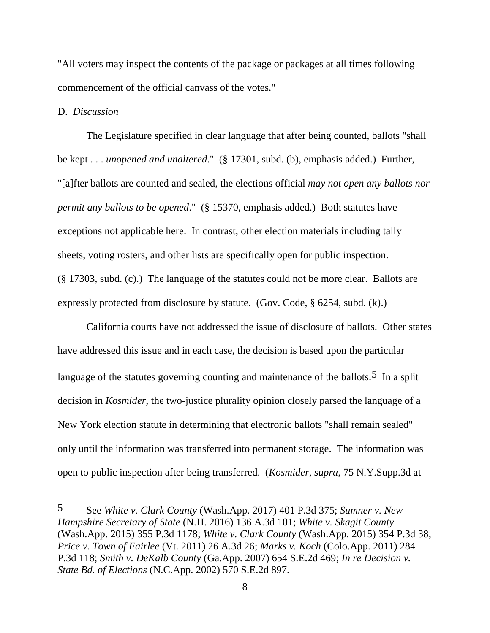"All voters may inspect the contents of the package or packages at all times following commencement of the official canvass of the votes."

# D. *Discussion*

 $\overline{a}$ 

The Legislature specified in clear language that after being counted, ballots "shall be kept . . . *unopened and unaltered*." (§ 17301, subd. (b), emphasis added.) Further, "[a]fter ballots are counted and sealed, the elections official *may not open any ballots nor permit any ballots to be opened*." (§ 15370, emphasis added.) Both statutes have exceptions not applicable here. In contrast, other election materials including tally sheets, voting rosters, and other lists are specifically open for public inspection. (§ 17303, subd. (c).) The language of the statutes could not be more clear. Ballots are expressly protected from disclosure by statute. (Gov. Code, § 6254, subd. (k).)

California courts have not addressed the issue of disclosure of ballots. Other states have addressed this issue and in each case, the decision is based upon the particular language of the statutes governing counting and maintenance of the ballots.<sup>5</sup> In a split decision in *Kosmider*, the two-justice plurality opinion closely parsed the language of a New York election statute in determining that electronic ballots "shall remain sealed" only until the information was transferred into permanent storage. The information was open to public inspection after being transferred. (*Kosmider*, *supra*, 75 N.Y.Supp.3d at

<sup>5</sup> See *White v. Clark County* (Wash.App. 2017) 401 P.3d 375; *Sumner v. New Hampshire Secretary of State* (N.H. 2016) 136 A.3d 101; *White v. Skagit County* (Wash.App. 2015) 355 P.3d 1178; *White v. Clark County* (Wash.App. 2015) 354 P.3d 38; *Price v. Town of Fairlee* (Vt. 2011) 26 A.3d 26; *Marks v. Koch* (Colo.App. 2011) 284 P.3d 118; *Smith v. DeKalb County* (Ga.App. 2007) 654 S.E.2d 469; *In re Decision v. State Bd. of Elections* (N.C.App. 2002) 570 S.E.2d 897.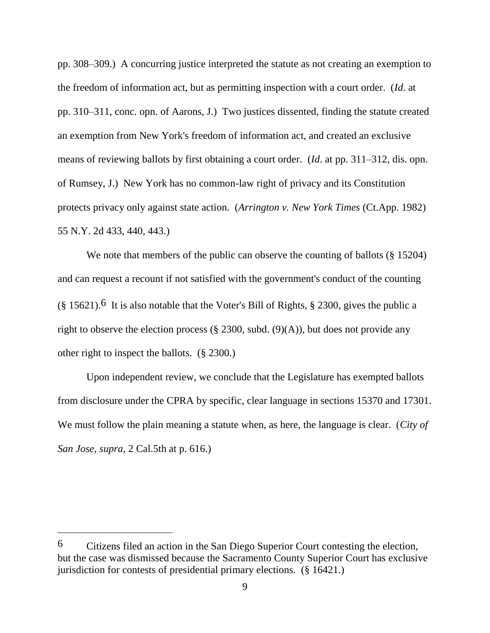pp. 308–309.) A concurring justice interpreted the statute as not creating an exemption to the freedom of information act, but as permitting inspection with a court order. (*Id*. at pp. 310–311, conc. opn. of Aarons, J.) Two justices dissented, finding the statute created an exemption from New York's freedom of information act, and created an exclusive means of reviewing ballots by first obtaining a court order. (*Id*. at pp. 311–312, dis. opn. of Rumsey, J.) New York has no common-law right of privacy and its Constitution protects privacy only against state action. (*Arrington v. New York Times* (Ct.App. 1982) 55 N.Y. 2d 433, 440, 443.)

We note that members of the public can observe the counting of ballots (§ 15204) and can request a recount if not satisfied with the government's conduct of the counting  $(\S 15621)$ .<sup>6</sup> It is also notable that the Voter's Bill of Rights,  $\S 2300$ , gives the public a right to observe the election process (§ 2300, subd.  $(9)(A)$ ), but does not provide any other right to inspect the ballots. (§ 2300.)

Upon independent review, we conclude that the Legislature has exempted ballots from disclosure under the CPRA by specific, clear language in sections 15370 and 17301. We must follow the plain meaning a statute when, as here, the language is clear. (*City of San Jose*, *supra*, 2 Cal.5th at p. 616.)

 $\overline{a}$ 

<sup>6</sup> Citizens filed an action in the San Diego Superior Court contesting the election, but the case was dismissed because the Sacramento County Superior Court has exclusive jurisdiction for contests of presidential primary elections. (§ 16421.)